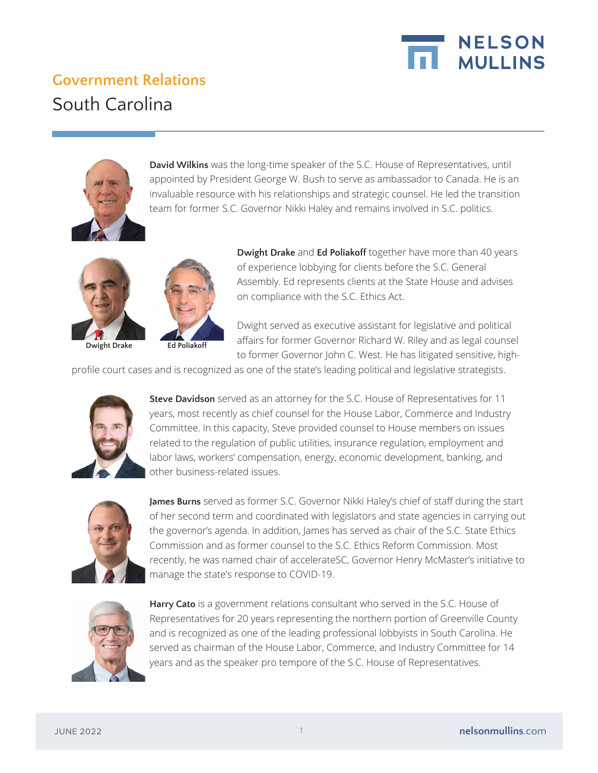

## **Government Relations**  South Carolina



**David Wilkins** was the long-time speaker of the S.C. House of Representatives, until appointed by President George W. Bush to serve as ambassador to Canada. He is an invaluable resource with his relationships and strategic counsel. He led the transition team for former S.C. Governor Nikki Haley and remains involved in S.C. politics.



**Dwight Drake Ed Poliakoff**

**Dwight Drake** and **Ed Poliakoff** together have more than 40 years of experience lobbying for clients before the S.C. General Assembly. Ed represents clients at the State House and advises on compliance with the S.C. Ethics Act.

Dwight served as executive assistant for legislative and political affairs for former Governor Richard W. Riley and as legal counsel to former Governor John C. West. He has litigated sensitive, high-

profile court cases and is recognized as one of the state's leading political and legislative strategists.



**Steve Davidson** served as an attorney for the S.C. House of Representatives for 11 years, most recently as chief counsel for the House Labor, Commerce and Industry Committee. In this capacity, Steve provided counsel to House members on issues related to the regulation of public utilities, insurance regulation, employment and labor laws, workers' compensation, energy, economic development, banking, and other business-related issues.



**James Burns** served as former S.C. Governor Nikki Haley's chief of staff during the start of her second term and coordinated with legislators and state agencies in carrying out the governor's agenda. In addition, James has served as chair of the S.C. State Ethics Commission and as former counsel to the S.C. Ethics Reform Commission. Most recently, he was named chair of accelerateSC, Governor Henry McMaster's initiative to manage the state's response to COVID-19.



**Harry Cato** is a government relations consultant who served in the S.C. House of Representatives for 20 years representing the northern portion of Greenville County and is recognized as one of the leading professional lobbyists in South Carolina. He served as chairman of the House Labor, Commerce, and Industry Committee for 14 years and as the speaker pro tempore of the S.C. House of Representatives.